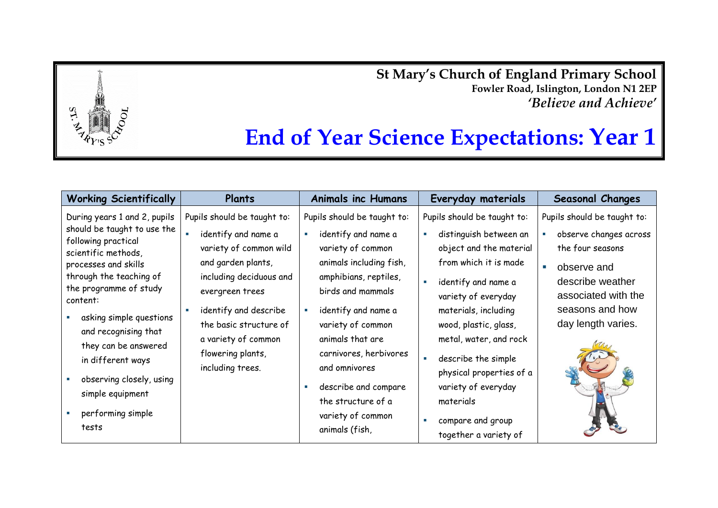**St Mary's Church of England Primary School Fowler Road, Islington, London N1 2EP** *'Believe and Achieve'*

## **End of Year Science Expectations: Year 1**

| <b>Working Scientifically</b>                                                                                                                                                                                                                                                 | Plants                                                                                                                                                                                                                     | <b>Animals inc Humans</b>                                                                                                                                                                                        | Everyday materials                                                                                                                                                                                                                 | <b>Seasonal Changes</b>                                                                                                                                                           |
|-------------------------------------------------------------------------------------------------------------------------------------------------------------------------------------------------------------------------------------------------------------------------------|----------------------------------------------------------------------------------------------------------------------------------------------------------------------------------------------------------------------------|------------------------------------------------------------------------------------------------------------------------------------------------------------------------------------------------------------------|------------------------------------------------------------------------------------------------------------------------------------------------------------------------------------------------------------------------------------|-----------------------------------------------------------------------------------------------------------------------------------------------------------------------------------|
| During years 1 and 2, pupils<br>should be taught to use the<br>following practical<br>scientific methods,<br>processes and skills<br>through the teaching of<br>the programme of study<br>content:<br>asking simple questions<br>and recognising that<br>they can be answered | Pupils should be taught to:<br>identify and name a<br>variety of common wild<br>and garden plants,<br>including deciduous and<br>evergreen trees<br>identify and describe<br>the basic structure of<br>a variety of common | Pupils should be taught to:<br>identify and name a<br>variety of common<br>animals including fish,<br>amphibians, reptiles,<br>birds and mammals<br>identify and name a<br>variety of common<br>animals that are | Pupils should be taught to:<br>distinguish between an<br>object and the material<br>from which it is made<br>identify and name a<br>variety of everyday<br>materials, including<br>wood, plastic, glass,<br>metal, water, and rock | Pupils should be taught to:<br>observe changes across<br>the four seasons<br>observe and<br>٠<br>describe weather<br>associated with the<br>seasons and how<br>day length varies. |
| in different ways<br>observing closely, using<br>simple equipment<br>performing simple                                                                                                                                                                                        | flowering plants,<br>including trees.                                                                                                                                                                                      | carnivores, herbivores<br>and omnivores<br>describe and compare<br>the structure of a<br>variety of common                                                                                                       | describe the simple<br>physical properties of a<br>variety of everyday<br>materials<br>compare and group                                                                                                                           |                                                                                                                                                                                   |
| tests                                                                                                                                                                                                                                                                         |                                                                                                                                                                                                                            | animals (fish,                                                                                                                                                                                                   | together a variety of                                                                                                                                                                                                              |                                                                                                                                                                                   |

 $ST$ .